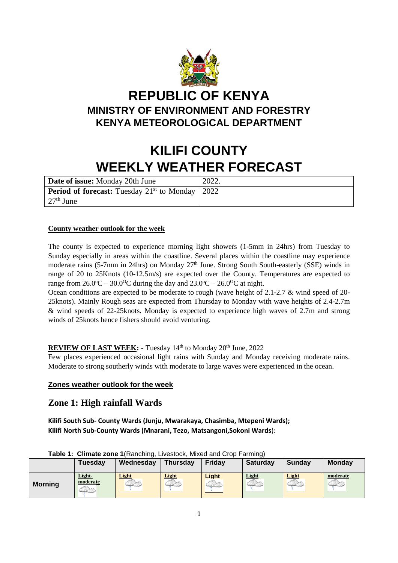

## **REPUBLIC OF KENYA MINISTRY OF ENVIRONMENT AND FORESTRY KENYA METEOROLOGICAL DEPARTMENT**

# **KILIFI COUNTY WEEKLY WEATHER FORECAST**

| <b>Date of issue:</b> Monday 20th June                     | 2022. |
|------------------------------------------------------------|-------|
| <b>Period of forecast:</b> Tuesday $21st$ to Monday   2022 |       |
| $27th$ June                                                |       |

#### **County weather outlook for the week**

The county is expected to experience morning light showers (1-5mm in 24hrs) from Tuesday to Sunday especially in areas within the coastline. Several places within the coastline may experience moderate rains (5-7mm in 24hrs) on Monday  $27<sup>th</sup>$  June. Strong South South-easterly (SSE) winds in range of 20 to 25Knots (10-12.5m/s) are expected over the County. Temperatures are expected to range from  $26.0^{\circ}\text{C} - 30.0^{\circ}\text{C}$  during the day and  $23.0^{\circ}\text{C} - 26.0^{\circ}\text{C}$  at night.

Ocean conditions are expected to be moderate to rough (wave height of 2.1-2.7 & wind speed of 20- 25knots). Mainly Rough seas are expected from Thursday to Monday with wave heights of 2.4-2.7m & wind speeds of 22-25knots. Monday is expected to experience high waves of 2.7m and strong winds of 25knots hence fishers should avoid venturing.

#### **REVIEW OF LAST WEEK:** - Tuesday 14<sup>th</sup> to Monday 20<sup>th</sup> June, 2022

Few places experienced occasional light rains with Sunday and Monday receiving moderate rains. Moderate to strong southerly winds with moderate to large waves were experienced in the ocean.

#### **Zones weather outlook for the week**

### **Zone 1: High rainfall Wards**

**Kilifi South Sub- County Wards (Junju, Mwarakaya, Chasimba, Mtepeni Wards); Kilifi North Sub-County Wards (Mnarani, Tezo, Matsangoni,Sokoni Wards**):

|                | Tuesday            | Wednesday | Thursday | Friday       | <b>Saturday</b> | <b>Sunday</b> | <b>Monday</b> |  |
|----------------|--------------------|-----------|----------|--------------|-----------------|---------------|---------------|--|
| <b>Morning</b> | Light-<br>moderate | Light     | Light    | <b>Light</b> | Light           | Light         | moderate      |  |

**Table 1: Climate zone 1**(Ranching, Livestock, Mixed and Crop Farming)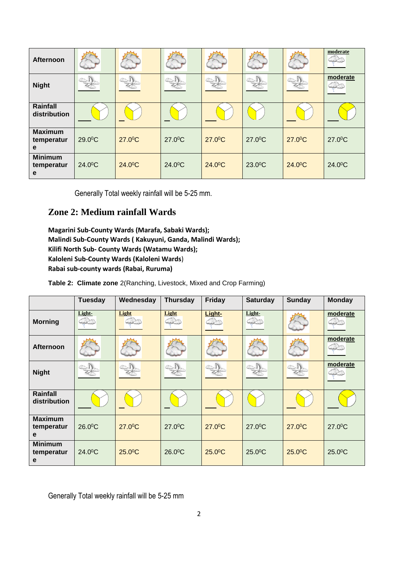| Afternoon                         |        |                     |                     |                       |                       |                       | moderate |
|-----------------------------------|--------|---------------------|---------------------|-----------------------|-----------------------|-----------------------|----------|
| <b>Night</b>                      |        |                     |                     |                       |                       |                       | moderate |
| Rainfall<br>distribution          |        |                     |                     |                       |                       |                       |          |
| <b>Maximum</b><br>temperatur<br>e | 29.0°C | 27.0°C              | 27.0°C              | $27.0$ <sup>o</sup> C | 27.0°C                | $27.0$ <sup>o</sup> C | 27.0°C   |
| <b>Minimum</b><br>temperatur<br>e | 24.0°C | 24.0 <sup>o</sup> C | 24.0 <sup>°</sup> C | 24.0°C                | $23.0$ <sup>o</sup> C | 24.0°C                | 24.0°C   |

Generally Total weekly rainfall will be 5-25 mm.

## **Zone 2: Medium rainfall Wards**

**Magarini Sub-County Wards (Marafa, Sabaki Wards); Malindi Sub-County Wards ( Kakuyuni, Ganda, Malindi Wards); Kilifi North Sub- County Wards (Watamu Wards); Kaloleni Sub-County Wards (Kaloleni Wards**) **Rabai sub-county wards (Rabai, Ruruma)**

**Table 2: Climate zone** 2(Ranching, Livestock, Mixed and Crop Farming)

|                                   | <b>Tuesday</b>        | Wednesday             | <b>Thursday</b>       | <b>Friday</b>         | <b>Saturday</b>       | <b>Sunday</b>         | <b>Monday</b>         |
|-----------------------------------|-----------------------|-----------------------|-----------------------|-----------------------|-----------------------|-----------------------|-----------------------|
| <b>Morning</b>                    | Light-                | Light                 | Light                 | Light-                | Light-                |                       | moderate              |
| Afternoon                         |                       |                       |                       |                       |                       |                       | moderate              |
| <b>Night</b>                      |                       |                       |                       |                       |                       |                       | moderate              |
| Rainfall<br>distribution          |                       |                       |                       |                       |                       |                       |                       |
| <b>Maximum</b><br>temperatur<br>e | $26.0$ <sup>o</sup> C | $27.0$ <sup>o</sup> C | $27.0$ <sup>o</sup> C | $27.0$ <sup>o</sup> C | $27.0$ <sup>o</sup> C | $27.0$ <sup>o</sup> C | $27.0$ <sup>°</sup> C |
| <b>Minimum</b><br>temperatur<br>e | $24.0$ <sup>°</sup> C | $25.0$ <sup>o</sup> C | $26.0$ <sup>o</sup> C | $25.0$ <sup>o</sup> C | $25.0$ <sup>o</sup> C | $25.0$ <sup>o</sup> C | 25.0°C                |

Generally Total weekly rainfall will be 5-25 mm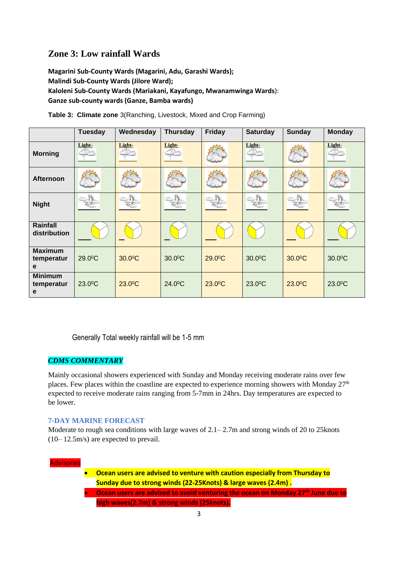## **Zone 3: Low rainfall Wards**

**Magarini Sub-County Wards (Magarini, Adu, Garashi Wards); Malindi Sub-County Wards (Jilore Ward); Kaloleni Sub-County Wards (Mariakani, Kayafungo, Mwanamwinga Wards**): **Ganze sub-county wards (Ganze, Bamba wards)**

|                                   | <b>Tuesday</b>      | Wednesday             | <b>Thursday</b>       | Friday | <b>Saturday</b>       | <b>Sunday</b>         | <b>Monday</b> |
|-----------------------------------|---------------------|-----------------------|-----------------------|--------|-----------------------|-----------------------|---------------|
| <b>Morning</b>                    | Light-              | Light-                | Light-                |        | Light-                |                       | Light-        |
| <b>Afternoon</b>                  |                     |                       |                       |        |                       |                       |               |
| <b>Night</b>                      |                     |                       |                       |        |                       |                       |               |
| Rainfall<br>distribution          |                     |                       |                       |        |                       |                       |               |
| <b>Maximum</b><br>temperatur<br>e | 29.0°C              | $30.0$ <sup>o</sup> C | $30.0$ <sup>o</sup> C | 29.0°C | $30.0$ <sup>o</sup> C | 30.0°C                | 30.0°C        |
| <b>Minimum</b><br>temperatur<br>e | 23.0 <sup>°</sup> C | $23.0$ <sup>o</sup> C | 24.0°C                | 23.0°C | 23.0°C                | $23.0$ <sup>o</sup> C | 23.0°C        |

**Table 3: Climate zone** 3(Ranching, Livestock, Mixed and Crop Farming)

Generally Total weekly rainfall will be 1-5 mm

#### *CDMS COMMENTARY*

Mainly occasional showers experienced with Sunday and Monday receiving moderate rains over few places. Few places within the coastline are expected to experience morning showers with Monday  $27<sup>th</sup>$ expected to receive moderate rains ranging from 5-7mm in 24hrs. Day temperatures are expected to be lower.

#### **7-DAY MARINE FORECAST**

Moderate to rough sea conditions with large waves of 2.1–2.7m and strong winds of 20 to 25 knots (10– 12.5m/s) are expected to prevail.

Advisories

 **Ocean users are advised to venture with caution especially from Thursday to Sunday due to strong winds (22-25Knots) & large waves (2.4m) . Ocean users are advised to avoid venturing the ocean on Monday 27th June due to high waves(2.7m) & strong winds (25knots).**